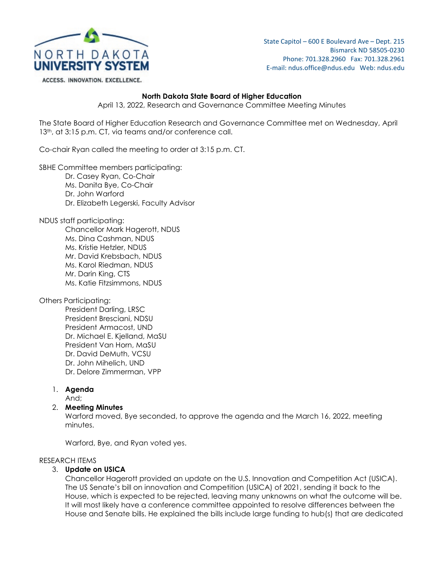

State Capitol – 600 E Boulevard Ave – Dept. 215 Bismarck ND 58505-0230 Phone: 701.328.2960 Fax: 701.328.2961 E-mail: ndus.office@ndus.edu Web: ndus.edu

ACCESS. INNOVATION. EXCELLENCE.

### **North Dakota State Board of Higher Education**

April 13, 2022, Research and Governance Committee Meeting Minutes

The State Board of Higher Education Research and Governance Committee met on Wednesday, April 13<sup>th</sup>, at 3:15 p.m. CT, via teams and/or conference call.

Co-chair Ryan called the meeting to order at 3:15 p.m. CT.

SBHE Committee members participating:

- Dr. Casey Ryan, Co-Chair Ms. Danita Bye, Co-Chair
- Dr. John Warford
- Dr. Elizabeth Legerski, Faculty Advisor

NDUS staff participating:

Chancellor Mark Hagerott, NDUS Ms. Dina Cashman, NDUS Ms. Kristie Hetzler, NDUS Mr. David Krebsbach, NDUS Ms. Karol Riedman, NDUS Mr. Darin King, CTS Ms. Katie Fitzsimmons, NDUS

Others Participating:

President Darling, LRSC President Bresciani, NDSU President Armacost, UND Dr. Michael E. Kjelland, MaSU President Van Horn, MaSU Dr. David DeMuth, VCSU Dr. John Mihelich, UND Dr. Delore Zimmerman, VPP

1. **Agenda**

And;

## 2. **Meeting Minutes**

Warford moved, Bye seconded, to approve the agenda and the March 16, 2022, meeting minutes.

Warford, Bye, and Ryan voted yes.

## RESEARCH ITEMS

## 3. **Update on USICA**

Chancellor Hagerott provided an update on the U.S. Innovation and Competition Act (USICA). The US Senate's bill on innovation and Competition (USICA) of 2021, sending it back to the House, which is expected to be rejected, leaving many unknowns on what the outcome will be. It will most likely have a conference committee appointed to resolve differences between the House and Senate bills. He explained the bills include large funding to hub(s) that are dedicated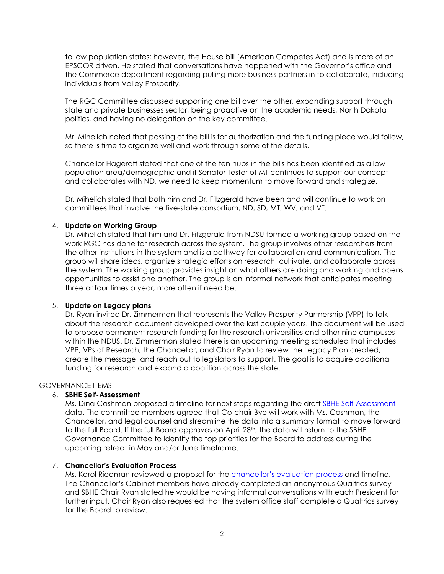to low population states; however, the House bill (American Competes Act) and is more of an EPSCOR driven. He stated that conversations have happened with the Governor's office and the Commerce department regarding pulling more business partners in to collaborate, including individuals from Valley Prosperity.

The RGC Committee discussed supporting one bill over the other, expanding support through state and private businesses sector, being proactive on the academic needs, North Dakota politics, and having no delegation on the key committee.

Mr. Mihelich noted that passing of the bill is for authorization and the funding piece would follow, so there is time to organize well and work through some of the details.

Chancellor Hagerott stated that one of the ten hubs in the bills has been identified as a low population area/demographic and if Senator Tester of MT continues to support our concept and collaborates with ND, we need to keep momentum to move forward and strategize.

Dr. Mihelich stated that both him and Dr. Fitzgerald have been and will continue to work on committees that involve the five-state consortium, ND, SD, MT, WV, and VT.

### 4. **Update on Working Group**

Dr. Mihelich stated that him and Dr. Fitzgerald from NDSU formed a working group based on the work RGC has done for research across the system. The group involves other researchers from the other institutions in the system and is a pathway for collaboration and communication. The group will share ideas, organize strategic efforts on research, cultivate, and collaborate across the system. The working group provides insight on what others are doing and working and opens opportunities to assist one another. The group is an informal network that anticipates meeting three or four times a year, more often if need be.

#### 5. **Update on Legacy plans**

Dr. Ryan invited Dr. Zimmerman that represents the Valley Prosperity Partnership (VPP) to talk about the research document developed over the last couple years. The document will be used to propose permanent research funding for the research universities and other nine campuses within the NDUS. Dr. Zimmerman stated there is an upcoming meeting scheduled that includes VPP, VPs of Research, the Chancellor, and Chair Ryan to review the Legacy Plan created, create the message, and reach out to legislators to support. The goal is to acquire additional funding for research and expand a coalition across the state.

#### GOVERNANCE ITEMS

#### 6. **SBHE Self-Assessment**

Ms. Dina Cashman proposed a timeline for next steps regarding the draft [SBHE Self-Assessment](https://ndusbpos.sharepoint.com/:b:/s/NDUSSBHE/EdkwPzX0XNBNoiMly7vJtiABbqjMGcgCD7WHrsAiOXPGOg?e=4C7qWu) data. The committee members agreed that Co-chair Bye will work with Ms. Cashman, the Chancellor, and legal counsel and streamline the data into a summary format to move forward to the full Board. If the full Board approves on April 28<sup>th</sup>, the data will return to the SBHE Governance Committee to identify the top priorities for the Board to address during the upcoming retreat in May and/or June timeframe.

#### 7. **Chancellor's Evaluation Process**

Ms. Karol Riedman reviewed a proposal for the *chancellor's evaluation process* and timeline. The Chancellor's Cabinet members have already completed an anonymous Qualtrics survey and SBHE Chair Ryan stated he would be having informal conversations with each President for further input. Chair Ryan also requested that the system office staff complete a Qualtrics survey for the Board to review.